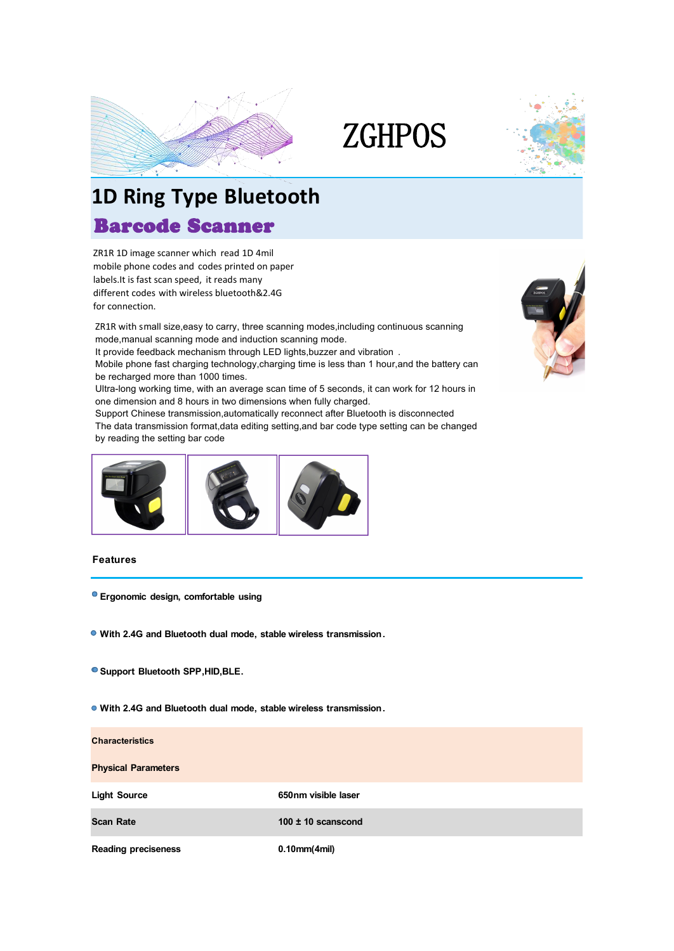



## **1D Ring Type Bluetooth**

## Barcode Scanner

ZR1R 1D image scanner which read 1D 4mil mobile phone codes and codes printed on paper labels.It is fast scan speed, it reads many different codes with wireless bluetooth&2.4G

ZR1R with small size,easy to carry, three scanning modes,including continuous scanning mode,manual scanning mode and induction scanning mode.

It provide feedback mechanism through LED lights,buzzer and vibration .

Mobile phone fast charging technology,charging time is less than 1 hour,and the battery can be recharged more than 1000 times.

Ultra-long working time, with an average scan time of 5 seconds, it can work for 12 hours in one dimension and 8 hours in two dimensions when fully charged.

Support Chinese transmission,automatically reconnect after Bluetooth is disconnected

The data transmission format,data editing setting,and bar code type setting can be changed by reading the setting bar code







## **Features**

**Ergonomic design, comfortable using**

 $\bullet$  With 2.4G and Bluetooth dual mode, stable wireless transmission.

**Support Bluetooth SPP,HID,BLE.**

**With 2.4G and Bluetooth dual mode,stable wireless transmission.**

| <b>Characteristics</b>     |                        |
|----------------------------|------------------------|
| <b>Physical Parameters</b> |                        |
| <b>Light Source</b>        | 650nm visible laser    |
| <b>Scan Rate</b>           | 100 $\pm$ 10 scanscond |
| <b>Reading preciseness</b> | $0.10$ mm $(4$ mil $)$ |

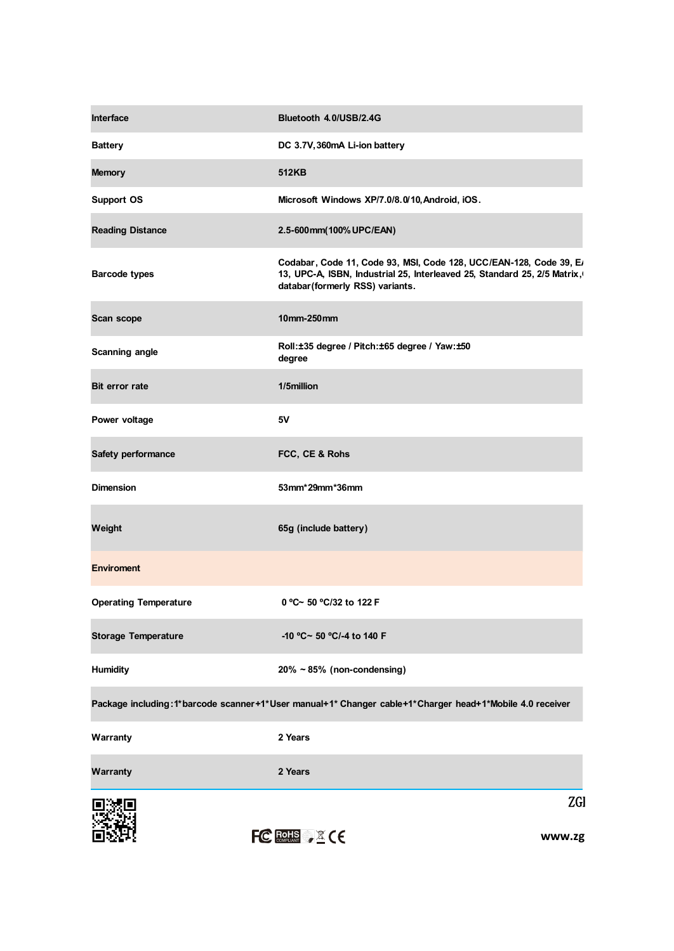| Interface                    | Bluetooth 4.0/USB/2.4G                                                                                                                                                             |            |
|------------------------------|------------------------------------------------------------------------------------------------------------------------------------------------------------------------------------|------------|
| <b>Battery</b>               | DC 3.7V, 360mA Li-ion battery                                                                                                                                                      |            |
| <b>Memory</b>                | 512KB                                                                                                                                                                              |            |
| Support OS                   | Microsoft Windows XP/7.0/8.0/10, Android, iOS.                                                                                                                                     |            |
| <b>Reading Distance</b>      | 2.5-600mm(100% UPC/EAN)                                                                                                                                                            |            |
| <b>Barcode types</b>         | Codabar, Code 11, Code 93, MSI, Code 128, UCC/EAN-128, Code 39, E/<br>13, UPC-A, ISBN, Industrial 25, Interleaved 25, Standard 25, 2/5 Matrix,<br>databar (formerly RSS) variants. |            |
| Scan scope                   | 10mm-250mm                                                                                                                                                                         |            |
| <b>Scanning angle</b>        | Roll:±35 degree / Pitch:±65 degree / Yaw:±50<br>degree                                                                                                                             |            |
| Bit error rate               | 1/5million                                                                                                                                                                         |            |
| Power voltage                | $5\mathrm{V}$                                                                                                                                                                      |            |
| Safety performance           | FCC, CE & Rohs                                                                                                                                                                     |            |
| <b>Dimension</b>             | 53mm*29mm*36mm                                                                                                                                                                     |            |
| Weight                       | 65g (include battery)                                                                                                                                                              |            |
| <b>Enviroment</b>            |                                                                                                                                                                                    |            |
| <b>Operating Temperature</b> | 0 °C~ 50 °C/32 to 122 F                                                                                                                                                            |            |
| <b>Storage Temperature</b>   | -10 °C~ 50 °C/-4 to 140 F                                                                                                                                                          |            |
| Humidity                     | $20\% \sim 85\%$ (non-condensing)                                                                                                                                                  |            |
|                              | Package including:1*barcode scanner+1*User manual+1* Changer cable+1*Charger head+1*Mobile 4.0 receiver                                                                            |            |
| Warranty                     | 2 Years                                                                                                                                                                            |            |
| Warranty                     | 2 Years                                                                                                                                                                            |            |
|                              |                                                                                                                                                                                    | <b>ZGI</b> |
|                              | FC ROHS & X CE                                                                                                                                                                     | www.zg     |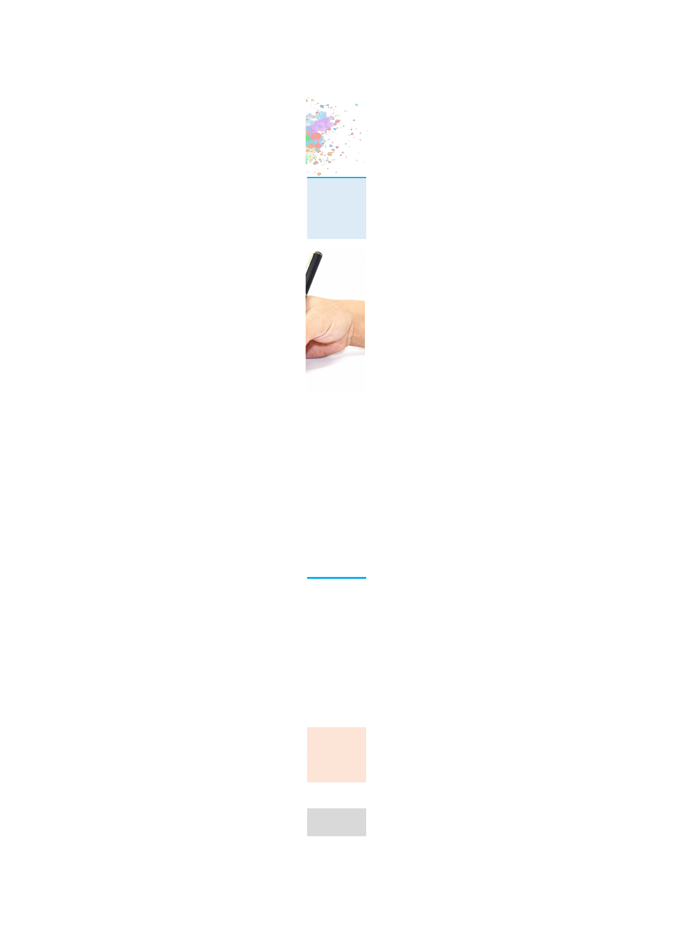